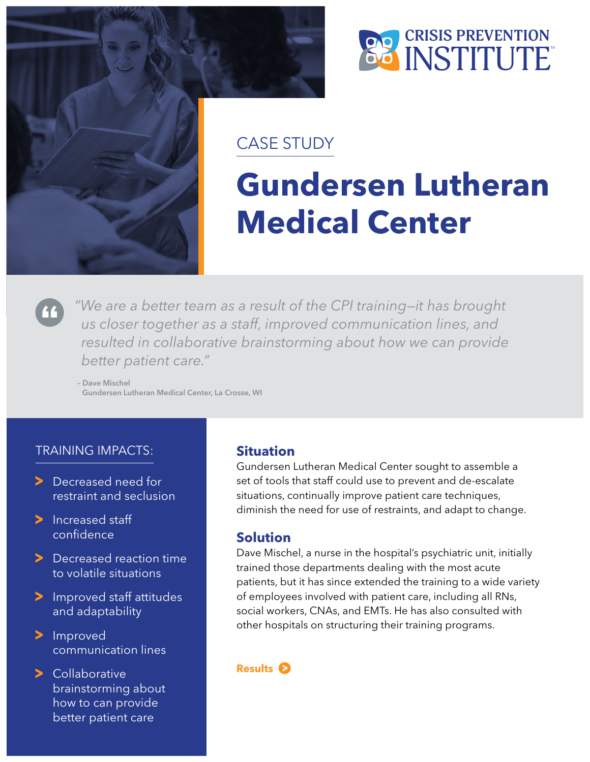



### CASE STUDY

# **Gundersen Lutheran Medical Center**

*"We are a better team as a result of the CPI training—it has brought us closer together as a staff, improved communication lines, and resulted in collaborative brainstorming about how we can provide better patient care."*

– Dave Mischel Gundersen Lutheran Medical Center, La Crosse, WI

#### TRAINING IMPACTS:

- > Decreased need for restraint and seclusion
- > Increased staff confidence
- > Decreased reaction time to volatile situations
- > Improved staff attitudes and adaptability
- > Improved communication lines
- > Collaborative brainstorming about how to can provide better patient care

#### **Situation**

Gundersen Lutheran Medical Center sought to assemble a set of tools that staff could use to prevent and de-escalate situations, continually improve patient care techniques, diminish the need for use of restraints, and adapt to change.

#### **Solution**

Dave Mischel, a nurse in the hospital's psychiatric unit, initially trained those departments dealing with the most acute patients, but it has since extended the training to a wide variety of employees involved with patient care, including all RNs, social workers, CNAs, and EMTs. He has also consulted with other hospitals on structuring their training programs.